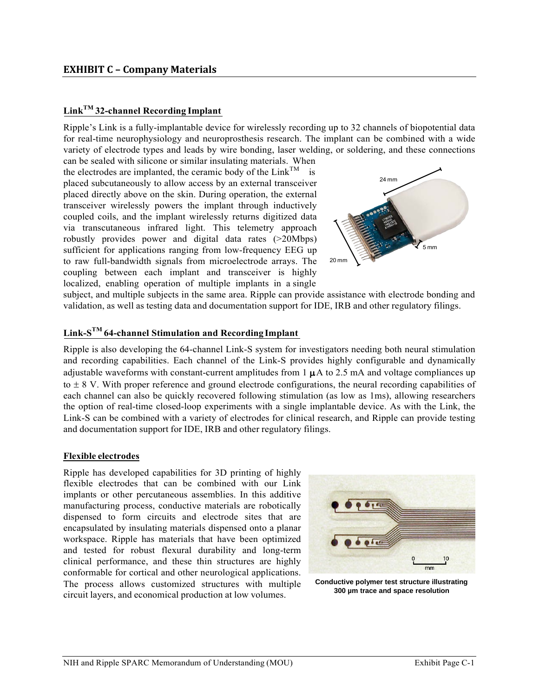# **LinkTM 32-channel Recording Implant**

Ripple's Link is a fully-implantable device for wirelessly recording up to 32 channels of biopotential data for real-time neurophysiology and neuroprosthesis research. The implant can be combined with a wide variety of electrode types and leads by wire bonding, laser welding, or soldering, and these connections

can be sealed with silicone or similar insulating materials. When the electrodes are implanted, the ceramic body of the  $Link^{TM}$  is placed subcutaneously to allow access by an external transceiver placed directly above on the skin. During operation, the external transceiver wirelessly powers the implant through inductively coupled coils, and the implant wirelessly returns digitized data via transcutaneous infrared light. This telemetry approach robustly provides power and digital data rates (>20Mbps) sufficient for applications ranging from low-frequency EEG up to raw full-bandwidth signals from microelectrode arrays. The coupling between each implant and transceiver is highly localized, enabling operation of multiple implants in a single



subject, and multiple subjects in the same area. Ripple can provide assistance with electrode bonding and validation, as well as testing data and documentation support for IDE, IRB and other regulatory filings.

# **Link-STM 64-channel Stimulation and Recording Implant**

Ripple is also developing the 64-channel Link-S system for investigators needing both neural stimulation and recording capabilities. Each channel of the Link-S provides highly configurable and dynamically adjustable waveforms with constant-current amplitudes from  $1 \mu A$  to  $2.5 \text{ mA}$  and voltage compliances up to  $\pm$  8 V. With proper reference and ground electrode configurations, the neural recording capabilities of each channel can also be quickly recovered following stimulation (as low as 1ms), allowing researchers the option of real-time closed-loop experiments with a single implantable device. As with the Link, the Link-S can be combined with a variety of electrodes for clinical research, and Ripple can provide testing and documentation support for IDE, IRB and other regulatory filings.

#### **Flexible electrodes**

Ripple has developed capabilities for 3D printing of highly flexible electrodes that can be combined with our Link implants or other percutaneous assemblies. In this additive manufacturing process, conductive materials are robotically dispensed to form circuits and electrode sites that are encapsulated by insulating materials dispensed onto a planar workspace. Ripple has materials that have been optimized and tested for robust flexural durability and long-term clinical performance, and these thin structures are highly conformable for cortical and other neurological applications. The process allows customized structures with multiple circuit layers, and economical production at low volumes.



**Conductive polymer test structure illustrating 300 µm trace and space resolution**